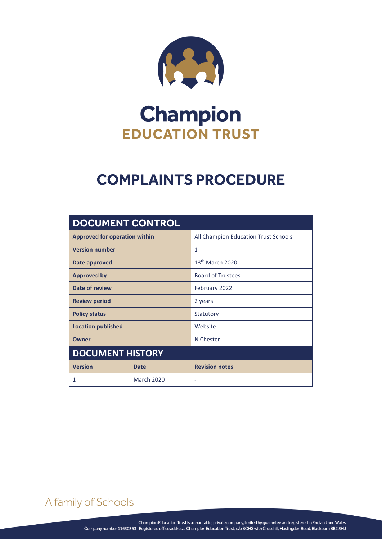

# **Champion EDUCATION TRUST**

# **COMPLAINTS PROCEDURE**

| <b>DOCUMENT CONTROL</b>              |                   |                                      |  |
|--------------------------------------|-------------------|--------------------------------------|--|
| <b>Approved for operation within</b> |                   | All Champion Education Trust Schools |  |
| <b>Version number</b>                |                   | 1                                    |  |
| Date approved                        |                   | 13 <sup>th</sup> March 2020          |  |
| <b>Approved by</b>                   |                   | <b>Board of Trustees</b>             |  |
| Date of review                       |                   | February 2022                        |  |
| <b>Review period</b>                 |                   | 2 years                              |  |
| <b>Policy status</b>                 |                   | Statutory                            |  |
| <b>Location published</b>            |                   | Website                              |  |
| <b>Owner</b>                         |                   | N Chester                            |  |
| <b>DOCUMENT HISTORY</b>              |                   |                                      |  |
| <b>Version</b>                       | <b>Date</b>       | <b>Revision notes</b>                |  |
|                                      | <b>March 2020</b> | ٠                                    |  |

A family of Schools

COMPLAINTS PROCEDURE Page **0** of **8**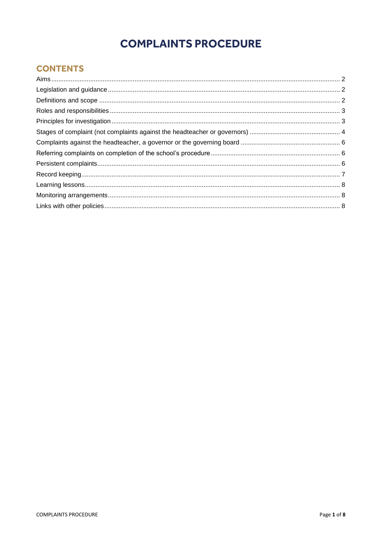# **COMPLAINTS PROCEDURE**

# **CONTENTS**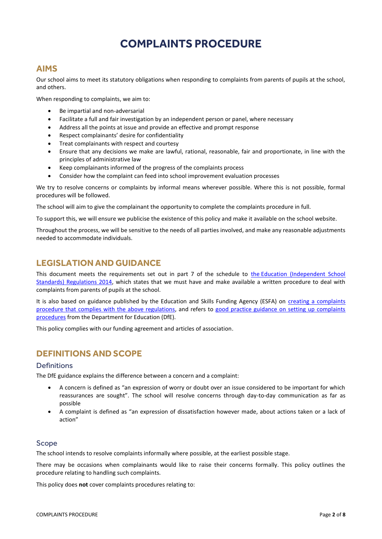# **COMPLAINTS PROCEDURE**

# <span id="page-2-0"></span>**AIMS**

Our school aims to meet its statutory obligations when responding to complaints from parents of pupils at the school, and others.

When responding to complaints, we aim to:

- Be impartial and non-adversarial
- Facilitate a full and fair investigation by an independent person or panel, where necessary
- Address all the points at issue and provide an effective and prompt response
- Respect complainants' desire for confidentiality
- Treat complainants with respect and courtesy
- Ensure that any decisions we make are lawful, rational, reasonable, fair and proportionate, in line with the principles of administrative law
- Keep complainants informed of the progress of the complaints process
- Consider how the complaint can feed into school improvement evaluation processes

We try to resolve concerns or complaints by informal means wherever possible. Where this is not possible, formal procedures will be followed.

The school will aim to give the complainant the opportunity to complete the complaints procedure in full.

To support this, we will ensure we publicise the existence of this policy and make it available on the school website.

Throughout the process, we will be sensitive to the needs of all parties involved, and make any reasonable adjustments needed to accommodate individuals.

# <span id="page-2-1"></span>**LEGISLATION AND GUIDANCE**

This document meets the requirements set out in part 7 of the schedule to the [Education \(Independent School](http://www.legislation.gov.uk/uksi/2014/3283/schedule/made)  [Standards\) Regulations 2014,](http://www.legislation.gov.uk/uksi/2014/3283/schedule/made) which states that we must have and make available a written procedure to deal with complaints from parents of pupils at the school.

It is also based on guidance published by the Education and Skills Funding Agency (ESFA) on [creating a complaints](https://www.gov.uk/government/publications/setting-up-an-academies-complaints-procedure)  [procedure that complies with the above regulations,](https://www.gov.uk/government/publications/setting-up-an-academies-complaints-procedure) and refers to [good practice guidance on setting up complaints](https://www.gov.uk/government/publications/school-complaints-procedures)  [procedures](https://www.gov.uk/government/publications/school-complaints-procedures) from the Department for Education (DfE).

This policy complies with our funding agreement and articles of association.

## <span id="page-2-2"></span>**DEFINITIONS AND SCOPE**

#### **Definitions**

The DfE guidance explains the difference between a concern and a complaint:

- A concern is defined as "an expression of worry or doubt over an issue considered to be important for which reassurances are sought". The school will resolve concerns through day-to-day communication as far as possible
- A complaint is defined as "an expression of dissatisfaction however made, about actions taken or a lack of action"

#### Scope

The school intends to resolve complaints informally where possible, at the earliest possible stage.

There may be occasions when complainants would like to raise their concerns formally. This policy outlines the procedure relating to handling such complaints.

This policy does **not** cover complaints procedures relating to: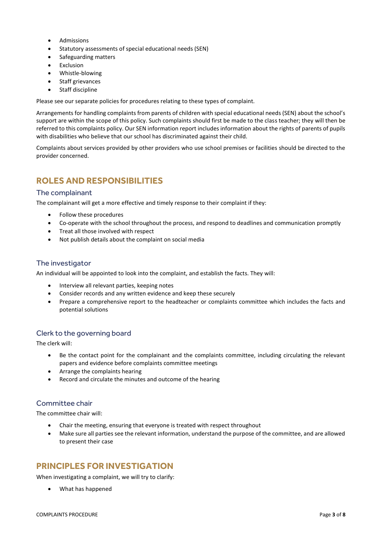- Admissions
- Statutory assessments of special educational needs (SEN)
- Safeguarding matters
- Exclusion
- Whistle-blowing
- Staff grievances
- Staff discipline

Please see our separate policies for procedures relating to these types of complaint.

Arrangements for handling complaints from parents of children with special educational needs (SEN) about the school's support are within the scope of this policy. Such complaints should first be made to the class teacher; they will then be referred to this complaints policy. Our SEN information report includes information about the rights of parents of pupils with disabilities who believe that our school has discriminated against their child.

Complaints about services provided by other providers who use school premises or facilities should be directed to the provider concerned.

# <span id="page-3-0"></span>**ROLES AND RESPONSIBILITIES**

#### The complainant

The complainant will get a more effective and timely response to their complaint if they:

- Follow these procedures
- Co-operate with the school throughout the process, and respond to deadlines and communication promptly
- Treat all those involved with respect
- Not publish details about the complaint on social media

#### The investigator

An individual will be appointed to look into the complaint, and establish the facts. They will:

- Interview all relevant parties, keeping notes
- Consider records and any written evidence and keep these securely
- Prepare a comprehensive report to the headteacher or complaints committee which includes the facts and potential solutions

#### Clerk to the governing board

The clerk will:

- Be the contact point for the complainant and the complaints committee, including circulating the relevant papers and evidence before complaints committee meetings
- Arrange the complaints hearing
- Record and circulate the minutes and outcome of the hearing

#### Committee chair

The committee chair will:

- Chair the meeting, ensuring that everyone is treated with respect throughout
- Make sure all parties see the relevant information, understand the purpose of the committee, and are allowed to present their case

## <span id="page-3-1"></span>**PRINCIPLES FOR INVESTIGATION**

When investigating a complaint, we will try to clarify:

What has happened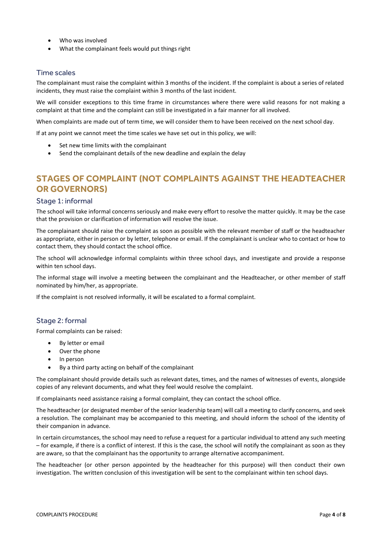- Who was involved
- What the complainant feels would put things right

#### Time scales

The complainant must raise the complaint within 3 months of the incident. If the complaint is about a series of related incidents, they must raise the complaint within 3 months of the last incident.

We will consider exceptions to this time frame in circumstances where there were valid reasons for not making a complaint at that time and the complaint can still be investigated in a fair manner for all involved.

When complaints are made out of term time, we will consider them to have been received on the next school day.

If at any point we cannot meet the time scales we have set out in this policy, we will:

- Set new time limits with the complainant
- Send the complainant details of the new deadline and explain the delay

# <span id="page-4-0"></span>**STAGES OF COMPLAINT (NOT COMPLAINTS AGAINST THE HEADTEACHER OR GOVERNORS)**

#### Stage 1: informal

The school will take informal concerns seriously and make every effort to resolve the matter quickly. It may be the case that the provision or clarification of information will resolve the issue.

The complainant should raise the complaint as soon as possible with the relevant member of staff or the headteacher as appropriate, either in person or by letter, telephone or email. If the complainant is unclear who to contact or how to contact them, they should contact the school office.

The school will acknowledge informal complaints within three school days, and investigate and provide a response within ten school days.

The informal stage will involve a meeting between the complainant and the Headteacher, or other member of staff nominated by him/her, as appropriate.

If the complaint is not resolved informally, it will be escalated to a formal complaint.

#### Stage 2: formal

Formal complaints can be raised:

- By letter or email
- Over the phone
- In person
- By a third party acting on behalf of the complainant

The complainant should provide details such as relevant dates, times, and the names of witnesses of events, alongside copies of any relevant documents, and what they feel would resolve the complaint.

If complainants need assistance raising a formal complaint, they can contact the school office.

The headteacher (or designated member of the senior leadership team) will call a meeting to clarify concerns, and seek a resolution. The complainant may be accompanied to this meeting, and should inform the school of the identity of their companion in advance.

In certain circumstances, the school may need to refuse a request for a particular individual to attend any such meeting – for example, if there is a conflict of interest. If this is the case, the school will notify the complainant as soon as they are aware, so that the complainant has the opportunity to arrange alternative accompaniment.

The headteacher (or other person appointed by the headteacher for this purpose) will then conduct their own investigation. The written conclusion of this investigation will be sent to the complainant within ten school days.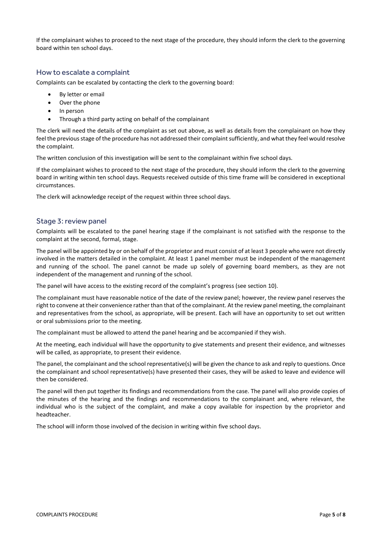If the complainant wishes to proceed to the next stage of the procedure, they should inform the clerk to the governing board within ten school days.

#### How to escalate a complaint

Complaints can be escalated by contacting the clerk to the governing board:

- By letter or email
- Over the phone
- In person
- Through a third party acting on behalf of the complainant

The clerk will need the details of the complaint as set out above, as well as details from the complainant on how they feel the previous stage of the procedure has not addressed their complaint sufficiently, and what they feel would resolve the complaint.

The written conclusion of this investigation will be sent to the complainant within five school days.

If the complainant wishes to proceed to the next stage of the procedure, they should inform the clerk to the governing board in writing within ten school days. Requests received outside of this time frame will be considered in exceptional circumstances.

The clerk will acknowledge receipt of the request within three school days.

#### Stage 3: review panel

Complaints will be escalated to the panel hearing stage if the complainant is not satisfied with the response to the complaint at the second, formal, stage.

The panel will be appointed by or on behalf of the proprietor and must consist of at least 3 people who were not directly involved in the matters detailed in the complaint. At least 1 panel member must be independent of the management and running of the school. The panel cannot be made up solely of governing board members, as they are not independent of the management and running of the school.

The panel will have access to the existing record of the complaint's progress (see section 10).

The complainant must have reasonable notice of the date of the review panel; however, the review panel reserves the right to convene at their convenience rather than that of the complainant. At the review panel meeting, the complainant and representatives from the school, as appropriate, will be present. Each will have an opportunity to set out written or oral submissions prior to the meeting.

The complainant must be allowed to attend the panel hearing and be accompanied if they wish.

At the meeting, each individual will have the opportunity to give statements and present their evidence, and witnesses will be called, as appropriate, to present their evidence.

The panel, the complainant and the school representative(s) will be given the chance to ask and reply to questions. Once the complainant and school representative(s) have presented their cases, they will be asked to leave and evidence will then be considered.

The panel will then put together its findings and recommendations from the case. The panel will also provide copies of the minutes of the hearing and the findings and recommendations to the complainant and, where relevant, the individual who is the subject of the complaint, and make a copy available for inspection by the proprietor and headteacher.

The school will inform those involved of the decision in writing within five school days.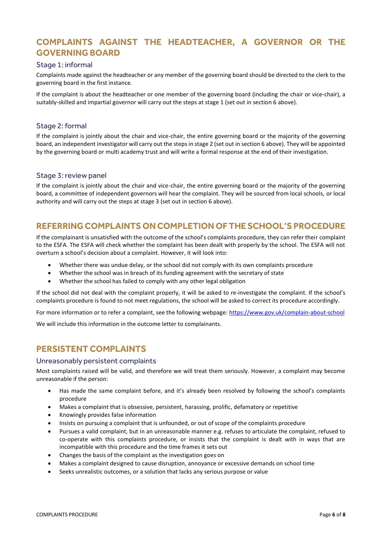# <span id="page-6-0"></span>**COMPLAINTS AGAINST THE HEADTEACHER, A GOVERNOR OR THE GOVERNING BOARD**

#### Stage 1: informal

Complaints made against the headteacher or any member of the governing board should be directed to the clerk to the governing board in the first instance.

If the complaint is about the headteacher or one member of the governing board (including the chair or vice-chair), a suitably-skilled and impartial governor will carry out the steps at stage 1 (set out in section 6 above).

#### Stage 2: formal

If the complaint is jointly about the chair and vice-chair, the entire governing board or the majority of the governing board, an independent investigator will carry out the steps in stage 2 (set out in section 6 above). They will be appointed by the governing board or multi academy trust and will write a formal response at the end of their investigation.

#### Stage 3: review panel

If the complaint is jointly about the chair and vice-chair, the entire governing board or the majority of the governing board, a committee of independent governors will hear the complaint. They will be sourced from local schools, or local authority and will carry out the steps at stage 3 (set out in section 6 above).

## <span id="page-6-1"></span>**REFERRING COMPLAINTSON COMPLETION OF THE SCHOOL'S PROCEDURE**

If the complainant is unsatisfied with the outcome of the school's complaints procedure, they can refer their complaint to the ESFA. The ESFA will check whether the complaint has been dealt with properly by the school. The ESFA will not overturn a school's decision about a complaint. However, it will look into:

- Whether there was undue delay, or the school did not comply with its own complaints procedure
- Whether the school was in breach of its funding agreement with the secretary of state
- Whether the school has failed to comply with any other legal obligation

If the school did not deal with the complaint properly, it will be asked to re-investigate the complaint. If the school's complaints procedure is found to not meet regulations, the school will be asked to correct its procedure accordingly.

For more information or to refer a complaint, see the following webpage: <https://www.gov.uk/complain-about-school>

We will include this information in the outcome letter to complainants.

# <span id="page-6-2"></span>**PERSISTENT COMPLAINTS**

#### Unreasonably persistent complaints

Most complaints raised will be valid, and therefore we will treat them seriously. However, a complaint may become unreasonable if the person:

- Has made the same complaint before, and it's already been resolved by following the school's complaints procedure
- Makes a complaint that is obsessive, persistent, harassing, prolific, defamatory or repetitive
- Knowingly provides false information
- Insists on pursuing a complaint that is unfounded, or out of scope of the complaints procedure
- Pursues a valid complaint, but in an unreasonable manner e.g. refuses to articulate the complaint, refused to co-operate with this complaints procedure, or insists that the complaint is dealt with in ways that are incompatible with this procedure and the time frames it sets out
- Changes the basis of the complaint as the investigation goes on
- Makes a complaint designed to cause disruption, annoyance or excessive demands on school time
- Seeks unrealistic outcomes, or a solution that lacks any serious purpose or value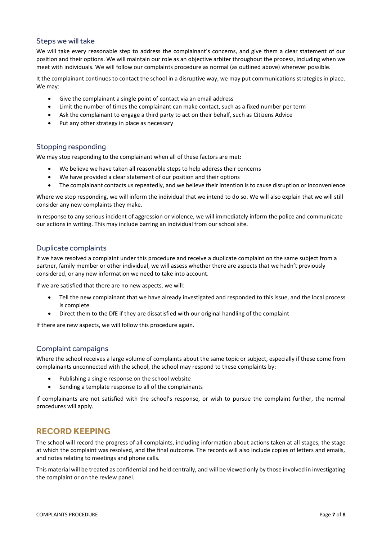#### Steps we will take

We will take every reasonable step to address the complainant's concerns, and give them a clear statement of our position and their options. We will maintain our role as an objective arbiter throughout the process, including when we meet with individuals. We will follow our complaints procedure as normal (as outlined above) wherever possible.

It the complainant continues to contact the school in a disruptive way, we may put communications strategies in place. We may:

- Give the complainant a single point of contact via an email address
- Limit the number of times the complainant can make contact, such as a fixed number per term
- Ask the complainant to engage a third party to act on their behalf, such as [Citizens Advice](https://www.citizensadvice.org.uk/)
- Put any other strategy in place as necessary

#### Stopping responding

We may stop responding to the complainant when all of these factors are met:

- We believe we have taken all reasonable steps to help address their concerns
- We have provided a clear statement of our position and their options
- The complainant contacts us repeatedly, and we believe their intention is to cause disruption or inconvenience

Where we stop responding, we will inform the individual that we intend to do so. We will also explain that we will still consider any new complaints they make.

In response to any serious incident of aggression or violence, we will immediately inform the police and communicate our actions in writing. This may include barring an individual from our school site.

#### Duplicate complaints

If we have resolved a complaint under this procedure and receive a duplicate complaint on the same subject from a partner, family member or other individual, we will assess whether there are aspects that we hadn't previously considered, or any new information we need to take into account.

If we are satisfied that there are no new aspects, we will:

- Tell the new complainant that we have already investigated and responded to this issue, and the local process is complete
- Direct them to the DfE if they are dissatisfied with our original handling of the complaint

If there are new aspects, we will follow this procedure again.

#### Complaint campaigns

Where the school receives a large volume of complaints about the same topic or subject, especially if these come from complainants unconnected with the school, the school may respond to these complaints by:

- Publishing a single response on the school website
- Sending a template response to all of the complainants

If complainants are not satisfied with the school's response, or wish to pursue the complaint further, the normal procedures will apply.

# <span id="page-7-0"></span>**RECORD KEEPING**

The school will record the progress of all complaints, including information about actions taken at all stages, the stage at which the complaint was resolved, and the final outcome. The records will also include copies of letters and emails, and notes relating to meetings and phone calls.

This material will be treated as confidential and held centrally, and will be viewed only by those involved in investigating the complaint or on the review panel.